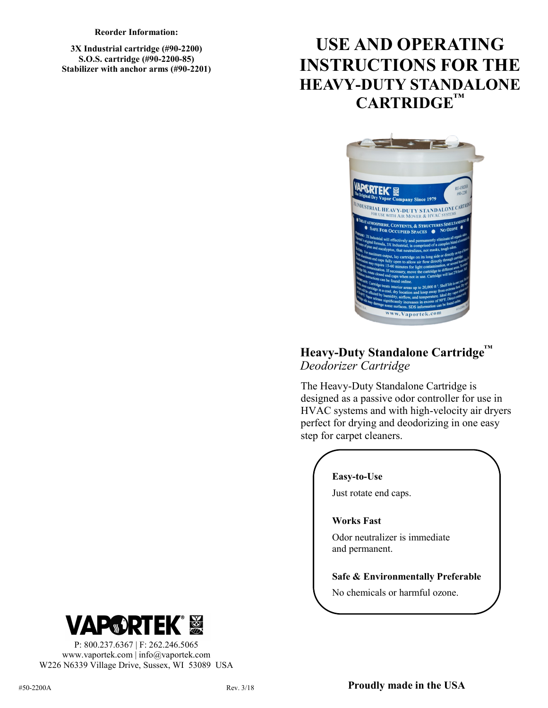**Reorder Information:**

**3X Industrial cartridge (#90-2200) S.O.S. cartridge (#90-2200-85) Stabilizer with anchor arms (#90-2201)**

# **USE AND OPERATING INSTRUCTIONS FOR THE HEAVY-DUTY STANDALONE CARTRIDGE™**



### **Heavy-Duty Standalone Cartridge™** *Deodorizer Cartridge*

The Heavy-Duty Standalone Cartridge is designed as a passive odor controller for use in HVAC systems and with high-velocity air dryers perfect for drying and deodorizing in one easy step for carpet cleaners.

#### **Easy-to-Use**

Just rotate end caps.

#### **Works Fast**

Odor neutralizer is immediate and permanent.

#### **Safe & Environmentally Preferable**

No chemicals or harmful ozone.



P: 800.237.6367 | F: 262.246.5065 www.vaportek.com | info@vaportek.com W226 N6339 Village Drive, Sussex, WI 53089 USA